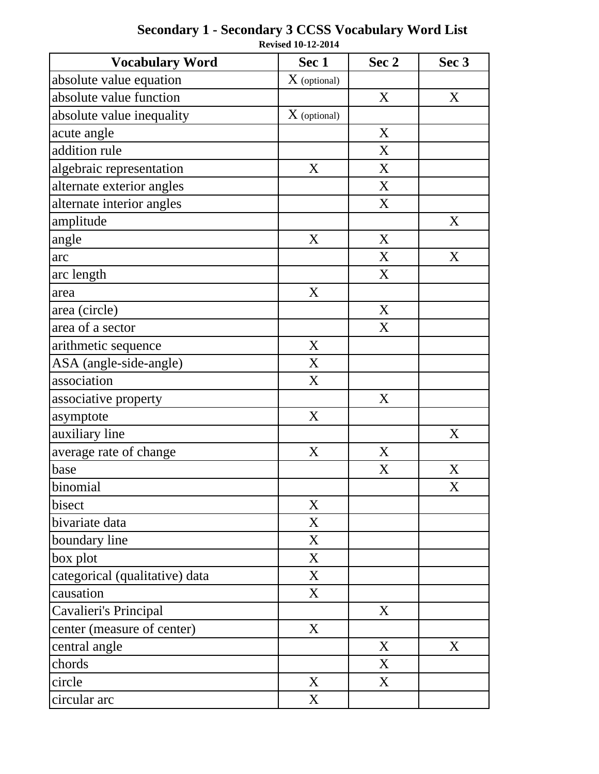| <b>Vocabulary Word</b>         | Sec 1          | Sec 2 | Sec 3       |
|--------------------------------|----------------|-------|-------------|
| absolute value equation        | $X$ (optional) |       |             |
| absolute value function        |                | X     | X           |
| absolute value inequality      | $X$ (optional) |       |             |
| acute angle                    |                | X     |             |
| addition rule                  |                | X     |             |
| algebraic representation       | X              | X     |             |
| alternate exterior angles      |                | X     |             |
| alternate interior angles      |                | X     |             |
| amplitude                      |                |       | X           |
| angle                          | X              | X     |             |
| arc                            |                | X     | X           |
| arc length                     |                | X     |             |
| area                           | X              |       |             |
| area (circle)                  |                | X     |             |
| area of a sector               |                | X     |             |
| arithmetic sequence            | X              |       |             |
| ASA (angle-side-angle)         | X              |       |             |
| association                    | X              |       |             |
| associative property           |                | X     |             |
| asymptote                      | X              |       |             |
| auxiliary line                 |                |       | X           |
| average rate of change         | $\mathbf X$    | X     |             |
| base                           |                | X     | X           |
| binomial                       |                |       | $\mathbf X$ |
| bisect                         | X              |       |             |
| bivariate data                 | X              |       |             |
| boundary line                  | X              |       |             |
| box plot                       | X              |       |             |
| categorical (qualitative) data | X              |       |             |
| causation                      | X              |       |             |
| Cavalieri's Principal          |                | X     |             |
| center (measure of center)     | X              |       |             |
| central angle                  |                | X     | X           |
| chords                         |                | X     |             |
| circle                         | X              | X     |             |
| circular arc                   | X              |       |             |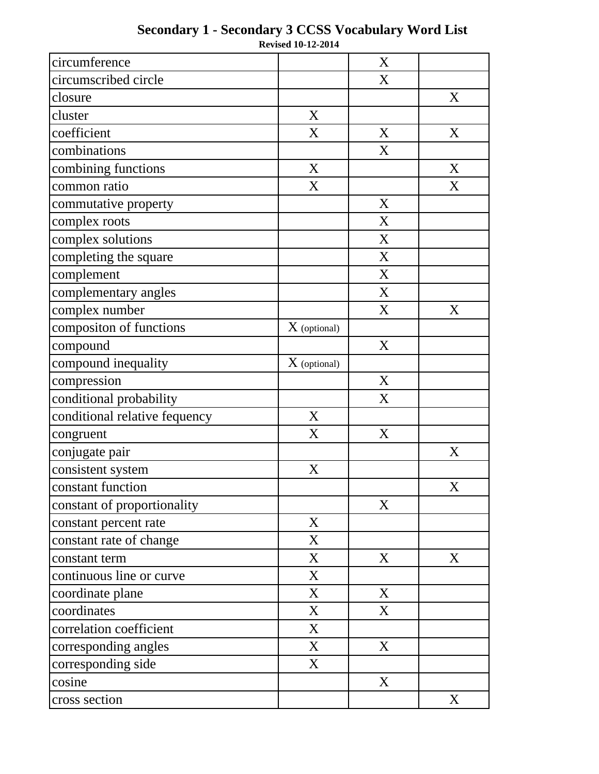| circumference                 |                | X |   |
|-------------------------------|----------------|---|---|
| circumscribed circle          |                | X |   |
| closure                       |                |   | X |
| cluster                       | X              |   |   |
| coefficient                   | X              | X | X |
| combinations                  |                | X |   |
| combining functions           | X              |   | X |
| common ratio                  | X              |   | X |
| commutative property          |                | X |   |
| complex roots                 |                | X |   |
| complex solutions             |                | X |   |
| completing the square         |                | X |   |
| complement                    |                | X |   |
| complementary angles          |                | X |   |
| complex number                |                | X | X |
| compositon of functions       | $X$ (optional) |   |   |
| compound                      |                | X |   |
| compound inequality           | $X$ (optional) |   |   |
| compression                   |                | X |   |
| conditional probability       |                | X |   |
| conditional relative fequency | X              |   |   |
| congruent                     | X              | X |   |
| conjugate pair                |                |   | X |
| consistent system             | X              |   |   |
| constant function             |                |   | X |
| constant of proportionality   |                | X |   |
| constant percent rate         | X              |   |   |
| constant rate of change       | X              |   |   |
| constant term                 | X              | X | X |
| continuous line or curve      | X              |   |   |
| coordinate plane              | X              | X |   |
| coordinates                   | X              | X |   |
| correlation coefficient       | X              |   |   |
| corresponding angles          | X              | X |   |
| corresponding side            | X              |   |   |
| cosine                        |                | X |   |
| cross section                 |                |   | X |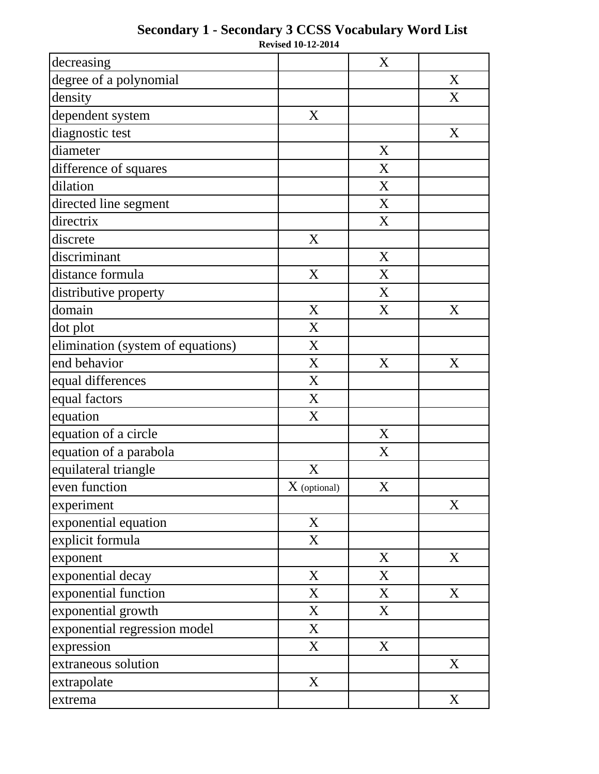| decreasing                        |                | X |                  |
|-----------------------------------|----------------|---|------------------|
| degree of a polynomial            |                |   | X                |
| density                           |                |   | X                |
| dependent system                  | X              |   |                  |
| diagnostic test                   |                |   | X                |
| diameter                          |                | X |                  |
| difference of squares             |                | X |                  |
| dilation                          |                | X |                  |
| directed line segment             |                | X |                  |
| directrix                         |                | X |                  |
| discrete                          | X              |   |                  |
| discriminant                      |                | X |                  |
| distance formula                  | X              | X |                  |
| distributive property             |                | X |                  |
| domain                            | X              | X | X                |
| dot plot                          | X              |   |                  |
| elimination (system of equations) | X              |   |                  |
| end behavior                      | X              | X | X                |
| equal differences                 | X              |   |                  |
| equal factors                     | X              |   |                  |
| equation                          | X              |   |                  |
| equation of a circle              |                | X |                  |
| equation of a parabola            |                | X |                  |
| equilateral triangle              | X              |   |                  |
| even function                     | $X$ (optional) | X |                  |
| experiment                        |                |   | X                |
| exponential equation              | X              |   |                  |
| explicit formula                  | X              |   |                  |
| exponent                          |                | X | X                |
| exponential decay                 | X              | X |                  |
| exponential function              | X              | X | X                |
| exponential growth                | X              | X |                  |
| exponential regression model      | X              |   |                  |
| expression                        | X              | X |                  |
| extraneous solution               |                |   | $\boldsymbol{X}$ |
| extrapolate                       | X              |   |                  |
| extrema                           |                |   | X                |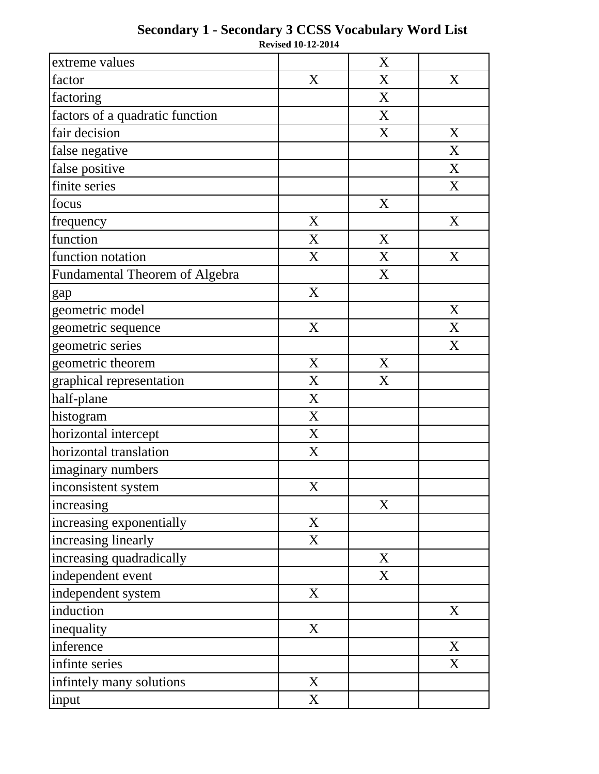| extreme values                        |                  | X |   |
|---------------------------------------|------------------|---|---|
| factor                                | X                | X | X |
| factoring                             |                  | X |   |
| factors of a quadratic function       |                  | X |   |
| fair decision                         |                  | X | X |
| false negative                        |                  |   | X |
| false positive                        |                  |   | X |
| finite series                         |                  |   | X |
| focus                                 |                  | X |   |
| frequency                             | X                |   | X |
| function                              | X                | X |   |
| function notation                     | $\boldsymbol{X}$ | X | X |
| <b>Fundamental Theorem of Algebra</b> |                  | X |   |
| gap                                   | X                |   |   |
| geometric model                       |                  |   | X |
| geometric sequence                    | X                |   | X |
| geometric series                      |                  |   | X |
| geometric theorem                     | X                | X |   |
| graphical representation              | X                | X |   |
| half-plane                            | X                |   |   |
| histogram                             | X                |   |   |
| horizontal intercept                  | X                |   |   |
| horizontal translation                | X                |   |   |
| imaginary numbers                     |                  |   |   |
| inconsistent system                   | X                |   |   |
| increasing                            |                  | X |   |
| increasing exponentially              | X                |   |   |
| increasing linearly                   | X                |   |   |
| increasing quadradically              |                  | X |   |
| independent event                     |                  | X |   |
| independent system                    | X                |   |   |
| induction                             |                  |   | X |
| inequality                            | X                |   |   |
| inference                             |                  |   | X |
| infinte series                        |                  |   | X |
| infintely many solutions              | X                |   |   |
| input                                 | X                |   |   |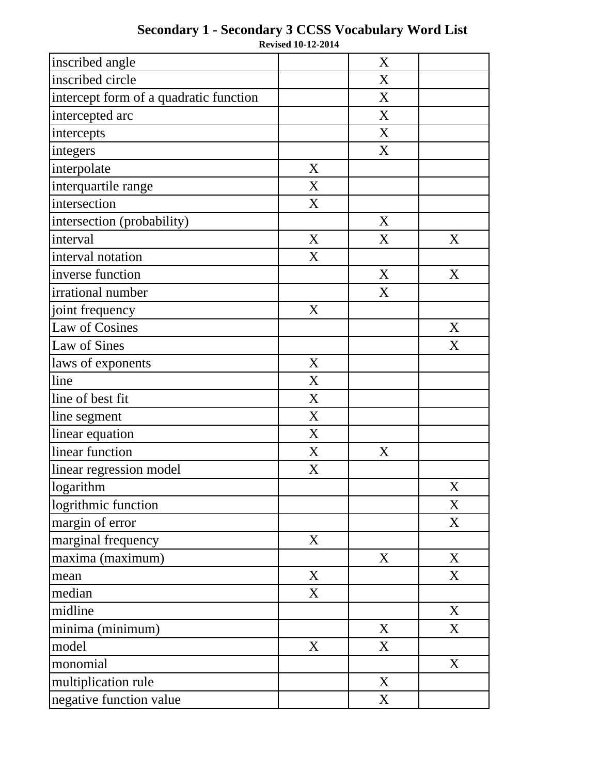| inscribed angle                        |                  | X |             |
|----------------------------------------|------------------|---|-------------|
| inscribed circle                       |                  | X |             |
| intercept form of a quadratic function |                  | X |             |
| intercepted arc                        |                  | X |             |
| intercepts                             |                  | X |             |
| integers                               |                  | X |             |
| interpolate                            | X                |   |             |
| interquartile range                    | X                |   |             |
| intersection                           | X                |   |             |
| intersection (probability)             |                  | X |             |
| interval                               | X                | X | X           |
| interval notation                      | X                |   |             |
| inverse function                       |                  | X | X           |
| irrational number                      |                  | X |             |
| joint frequency                        | X                |   |             |
| Law of Cosines                         |                  |   | $\mathbf X$ |
| Law of Sines                           |                  |   | X           |
| laws of exponents                      | X                |   |             |
| line                                   | X                |   |             |
| line of best fit                       | $\mathbf X$      |   |             |
| line segment                           | $\boldsymbol{X}$ |   |             |
| linear equation                        | X                |   |             |
| linear function                        | $\mathbf X$      | X |             |
| linear regression model                | $\mathbf X$      |   |             |
| $\overline{\text{logarithm}}$          |                  |   | X           |
| logrithmic function                    |                  |   | X           |
| margin of error                        |                  |   | X           |
| marginal frequency                     | X                |   |             |
| maxima (maximum)                       |                  | X | X           |
| mean                                   | X                |   | X           |
| median                                 | X                |   |             |
| midline                                |                  |   | X           |
| minima (minimum)                       |                  | X | X           |
| model                                  | X                | X |             |
| monomial                               |                  |   | X           |
| multiplication rule                    |                  | X |             |
| negative function value                |                  | X |             |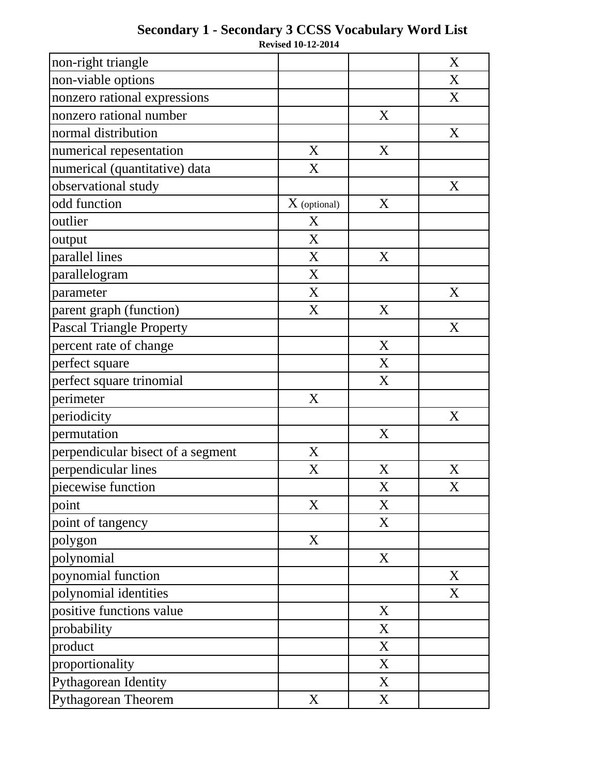| non-right triangle                |                |   | X                |
|-----------------------------------|----------------|---|------------------|
| non-viable options                |                |   | X                |
| nonzero rational expressions      |                |   | X                |
| nonzero rational number           |                | X |                  |
| normal distribution               |                |   | X                |
| numerical repesentation           | X              | X |                  |
| numerical (quantitative) data     | X              |   |                  |
| observational study               |                |   | X                |
| odd function                      | $X$ (optional) | X |                  |
| outlier                           | X              |   |                  |
| output                            | X              |   |                  |
| parallel lines                    | X              | X |                  |
| parallelogram                     | X              |   |                  |
| parameter                         | X              |   | X                |
| parent graph (function)           | X              | X |                  |
| <b>Pascal Triangle Property</b>   |                |   | X                |
| percent rate of change            |                | X |                  |
| perfect square                    |                | X |                  |
| perfect square trinomial          |                | X |                  |
| perimeter                         | X              |   |                  |
| periodicity                       |                |   | X                |
| permutation                       |                | X |                  |
| perpendicular bisect of a segment | X              |   |                  |
| perpendicular lines               | X              | X | $\boldsymbol{X}$ |
| piecewise function                |                | X | X                |
| point                             | X              | X |                  |
| point of tangency                 |                | X |                  |
| polygon                           | X              |   |                  |
| polynomial                        |                | X |                  |
| poynomial function                |                |   | X                |
| polynomial identities             |                |   | X                |
| positive functions value          |                | X |                  |
| probability                       |                | X |                  |
| product                           |                | X |                  |
| proportionality                   |                | X |                  |
| Pythagorean Identity              |                | X |                  |
| Pythagorean Theorem               | X              | X |                  |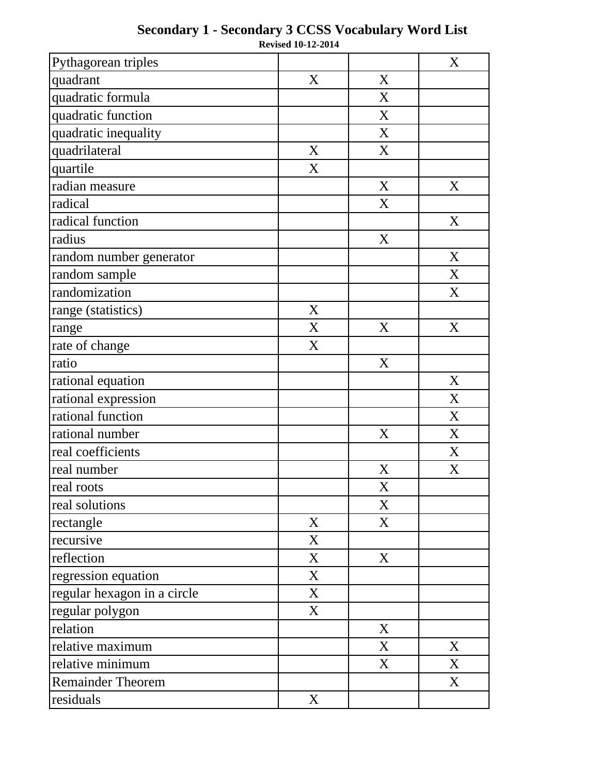| Pythagorean triples         |   |   | X                |
|-----------------------------|---|---|------------------|
| quadrant                    | X | X |                  |
| quadratic formula           |   | X |                  |
| quadratic function          |   | X |                  |
| quadratic inequality        |   | X |                  |
| quadrilateral               | X | X |                  |
| quartile                    | X |   |                  |
| radian measure              |   | X | X                |
| radical                     |   | X |                  |
| radical function            |   |   | X                |
| radius                      |   | X |                  |
| random number generator     |   |   | X                |
| random sample               |   |   | X                |
| randomization               |   |   | X                |
| range (statistics)          | X |   |                  |
| range                       | X | X | X                |
| rate of change              | X |   |                  |
| ratio                       |   | X |                  |
| rational equation           |   |   | X                |
| rational expression         |   |   | X                |
| rational function           |   |   | X                |
| rational number             |   | X | X                |
| real coefficients           |   |   | X                |
| real number                 |   | X | $\boldsymbol{X}$ |
| real roots                  |   | X |                  |
| real solutions              |   | X |                  |
| rectangle                   | X | X |                  |
| recursive                   | X |   |                  |
| reflection                  | X | X |                  |
| regression equation         | X |   |                  |
| regular hexagon in a circle | X |   |                  |
| regular polygon             | X |   |                  |
| relation                    |   | X |                  |
| relative maximum            |   | X | X                |
| relative minimum            |   | X | X                |
| <b>Remainder Theorem</b>    |   |   | X                |
| residuals                   | X |   |                  |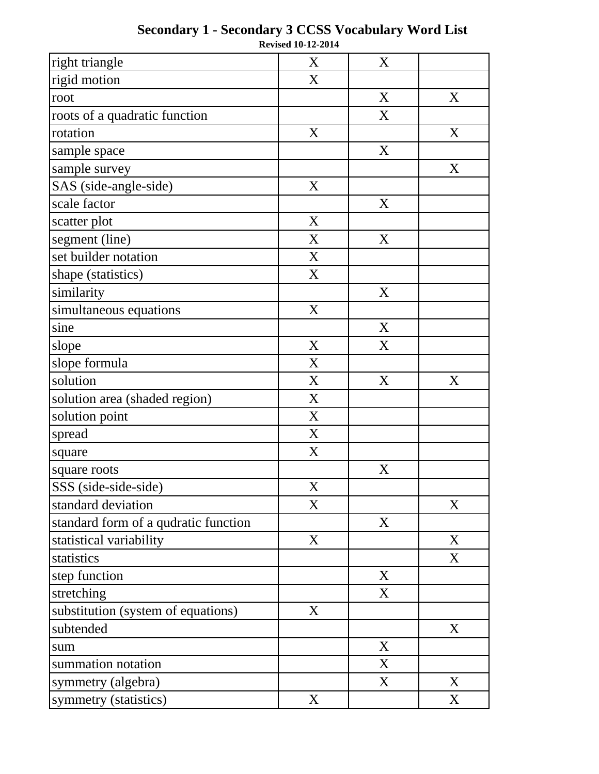| right triangle                       | X | X           |   |
|--------------------------------------|---|-------------|---|
| rigid motion                         | X |             |   |
| root                                 |   | X           | X |
| roots of a quadratic function        |   | X           |   |
| rotation                             | X |             | X |
| sample space                         |   | X           |   |
| sample survey                        |   |             | X |
| SAS (side-angle-side)                | X |             |   |
| scale factor                         |   | X           |   |
| scatter plot                         | X |             |   |
| segment (line)                       | X | X           |   |
| set builder notation                 | X |             |   |
| shape (statistics)                   | X |             |   |
| similarity                           |   | X           |   |
| simultaneous equations               | X |             |   |
| sine                                 |   | X           |   |
| slope                                | X | X           |   |
| slope formula                        | X |             |   |
| solution                             | X | X           | X |
| solution area (shaded region)        | X |             |   |
| solution point                       | X |             |   |
| spread                               | X |             |   |
| square                               | X |             |   |
| square roots                         |   | $\mathbf X$ |   |
| SSS (side-side-side)                 | X |             |   |
| standard deviation                   | X |             | X |
| standard form of a qudratic function |   | X           |   |
| statistical variability              | X |             | X |
| statistics                           |   |             | X |
| step function                        |   | X           |   |
| stretching                           |   | X           |   |
| substitution (system of equations)   | X |             |   |
| subtended                            |   |             | X |
| sum                                  |   | X           |   |
| summation notation                   |   | X           |   |
| symmetry (algebra)                   |   | X           | X |
| symmetry (statistics)                | X |             | X |